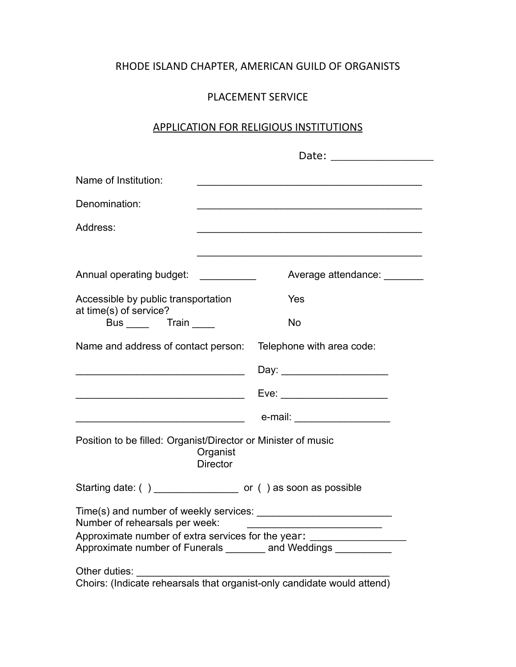## RHODE ISLAND CHAPTER, AMERICAN GUILD OF ORGANISTS

## PLACEMENT SERVICE

## APPLICATION FOR RELIGIOUS INSTITUTIONS

| Name of Institution:                                                                                                                               |  |                               |  |  |  |  |
|----------------------------------------------------------------------------------------------------------------------------------------------------|--|-------------------------------|--|--|--|--|
| Denomination:                                                                                                                                      |  |                               |  |  |  |  |
| Address:                                                                                                                                           |  |                               |  |  |  |  |
|                                                                                                                                                    |  |                               |  |  |  |  |
| Annual operating budget: ___________                                                                                                               |  | Average attendance: ________  |  |  |  |  |
| Accessible by public transportation<br>at time(s) of service?                                                                                      |  | Yes                           |  |  |  |  |
| Bus Train                                                                                                                                          |  | No                            |  |  |  |  |
| Name and address of contact person: Telephone with area code:                                                                                      |  |                               |  |  |  |  |
|                                                                                                                                                    |  | Day: _______________________  |  |  |  |  |
| <u> 1980 - Johann Barbara, martin amerikan basar dan basa dalam basa dalam basa dalam basa dalam basa dalam basa</u>                               |  |                               |  |  |  |  |
| <u> 1989 - Johann Stoff, deutscher Stoffen und der Stoffen und der Stoffen und der Stoffen und der Stoffen und der </u>                            |  | e-mail: _____________________ |  |  |  |  |
| Position to be filled: Organist/Director or Minister of music<br>Organist<br><b>Director</b>                                                       |  |                               |  |  |  |  |
| Starting date: () _______________________ or () as soon as possible                                                                                |  |                               |  |  |  |  |
| Number of rehearsals per week:<br>Approximate number of extra services for the year:<br>Approximate number of Funerals _______ and Weddings ______ |  |                               |  |  |  |  |
| Other duties:<br>Choirs: (Indicate rehearsals that organist-only candidate would attend)                                                           |  |                               |  |  |  |  |